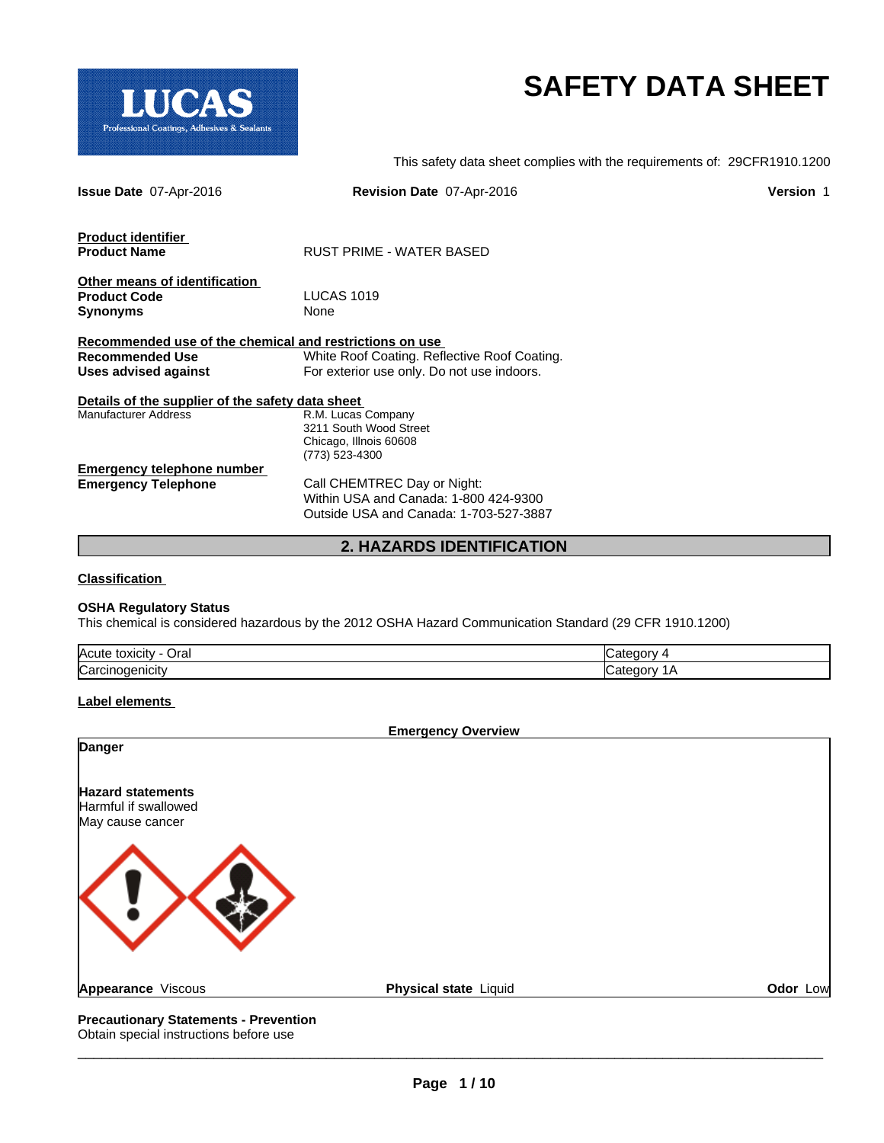

# **SAFETY DATA SHEET**

This safety data sheet complies with the requirements of: 29CFR1910.1200

| <b>Issue Date 07-Apr-2016</b>                           | Revision Date 07-Apr-2016                    | <b>Version 1</b> |
|---------------------------------------------------------|----------------------------------------------|------------------|
| <b>Product identifier</b>                               |                                              |                  |
| <b>Product Name</b>                                     | RUST PRIME - WATER BASED                     |                  |
| Other means of identification                           |                                              |                  |
| <b>Product Code</b>                                     | <b>LUCAS 1019</b>                            |                  |
| <b>Synonyms</b>                                         | None                                         |                  |
| Recommended use of the chemical and restrictions on use |                                              |                  |
| <b>Recommended Use</b>                                  | White Roof Coating. Reflective Roof Coating. |                  |
| Uses advised against                                    | For exterior use only. Do not use indoors.   |                  |
| Details of the supplier of the safety data sheet        |                                              |                  |
| <b>Manufacturer Address</b>                             | R.M. Lucas Company                           |                  |
|                                                         | 3211 South Wood Street                       |                  |
|                                                         | Chicago, Illnois 60608                       |                  |
|                                                         | (773) 523-4300                               |                  |
| <b>Emergency telephone number</b>                       |                                              |                  |
| <b>Emergency Telephone</b>                              | Call CHEMTREC Day or Night:                  |                  |
|                                                         | Within USA and Canada: 1-800 424-9300        |                  |
|                                                         | Outside USA and Canada: 1-703-527-3887       |                  |
|                                                         | <b>2. HAZARDS IDENTIFICATION</b>             |                  |

**Classification** 

#### **OSHA Regulatory Status**

This chemical is considered hazardous by the 2012 OSHA Hazard Communication Standard (29 CFR 1910.1200)

| $\overline{ }$<br>Oral<br><b>IAcute</b><br>toxicity |  |
|-----------------------------------------------------|--|
| <b>Card</b><br>המורי<br>. انا                       |  |

#### **Label elements**

|                                                                      | <b>Emergency Overview</b> |          |
|----------------------------------------------------------------------|---------------------------|----------|
| <b>Danger</b>                                                        |                           |          |
| <b>Hazard statements</b><br>Harmful if swallowed<br>May cause cancer |                           |          |
|                                                                      |                           |          |
| Appearance Viscous                                                   | Physical state Liquid     | Odor Low |
| <b>Precautionary Statements - Prevention</b>                         |                           |          |

Obtain special instructions before use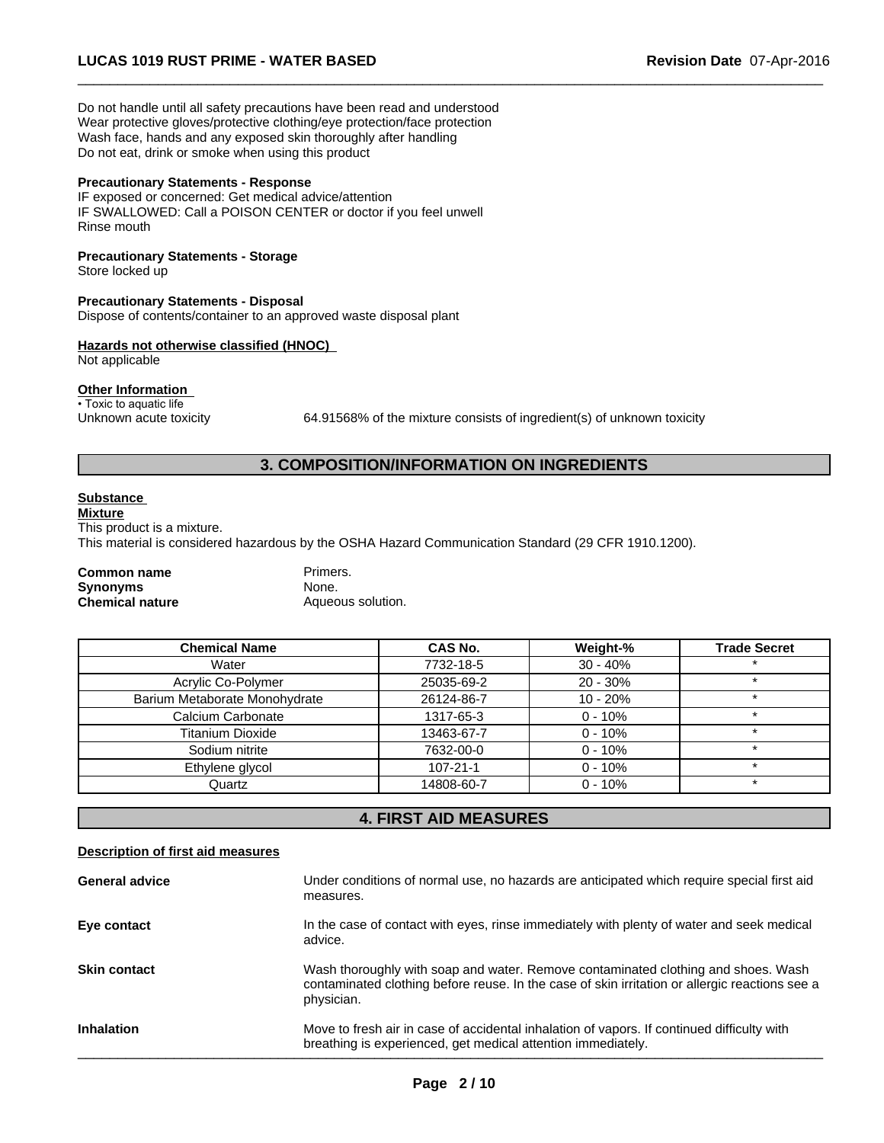Do not handle until all safety precautions have been read and understood Wear protective gloves/protective clothing/eye protection/face protection Wash face, hands and any exposed skin thoroughly after handling Do not eat, drink or smoke when using this product

#### **Precautionary Statements - Response**

IF exposed or concerned: Get medical advice/attention IF SWALLOWED: Call a POISON CENTER or doctor if you feel unwell Rinse mouth

### **Precautionary Statements - Storage**

Store locked up

#### **Precautionary Statements - Disposal**

Dispose of contents/container to an approved waste disposal plant

#### **Hazards not otherwise classified (HNOC)**

Not applicable

#### **Other Information**

• Toxic to aquatic life

Unknown acute toxicity 64.91568% of the mixture consists of ingredient(s) of unknown toxicity

 $\overline{\phantom{a}}$  ,  $\overline{\phantom{a}}$  ,  $\overline{\phantom{a}}$  ,  $\overline{\phantom{a}}$  ,  $\overline{\phantom{a}}$  ,  $\overline{\phantom{a}}$  ,  $\overline{\phantom{a}}$  ,  $\overline{\phantom{a}}$  ,  $\overline{\phantom{a}}$  ,  $\overline{\phantom{a}}$  ,  $\overline{\phantom{a}}$  ,  $\overline{\phantom{a}}$  ,  $\overline{\phantom{a}}$  ,  $\overline{\phantom{a}}$  ,  $\overline{\phantom{a}}$  ,  $\overline{\phantom{a}}$ 

# **3. COMPOSITION/INFORMATION ON INGREDIENTS**

# **Substance**

**Mixture** This product is a mixture. This material is considered hazardous by the OSHA Hazard Communication Standard (29 CFR 1910.1200).

# **Common name** Primers.<br> **Synonyms** None. **Synonyms**<br>Chemical nature

Aqueous solution.

| <b>Chemical Name</b>          | CAS No.        | Weight-%   | <b>Trade Secret</b> |
|-------------------------------|----------------|------------|---------------------|
| Water                         | 7732-18-5      | $30 - 40%$ |                     |
| Acrylic Co-Polymer            | 25035-69-2     | $20 - 30%$ | ÷                   |
| Barium Metaborate Monohydrate | 26124-86-7     | $10 - 20%$ | $\star$             |
| Calcium Carbonate             | 1317-65-3      | $0 - 10%$  | $\star$             |
| <b>Titanium Dioxide</b>       | 13463-67-7     | $0 - 10%$  |                     |
| Sodium nitrite                | 7632-00-0      | $0 - 10%$  | $\star$             |
| Ethylene glycol               | $107 - 21 - 1$ | $0 - 10%$  |                     |
| Quartz                        | 14808-60-7     | $0 - 10%$  |                     |

# **4. FIRST AID MEASURES**

| Description of first aid measures |                                                                                                                                                                                                   |
|-----------------------------------|---------------------------------------------------------------------------------------------------------------------------------------------------------------------------------------------------|
| <b>General advice</b>             | Under conditions of normal use, no hazards are anticipated which require special first aid<br>measures.                                                                                           |
| Eye contact                       | In the case of contact with eyes, rinse immediately with plenty of water and seek medical<br>advice.                                                                                              |
| <b>Skin contact</b>               | Wash thoroughly with soap and water. Remove contaminated clothing and shoes. Wash<br>contaminated clothing before reuse. In the case of skin irritation or allergic reactions see a<br>physician. |
| <b>Inhalation</b>                 | Move to fresh air in case of accidental inhalation of vapors. If continued difficulty with<br>breathing is experienced, get medical attention immediately.                                        |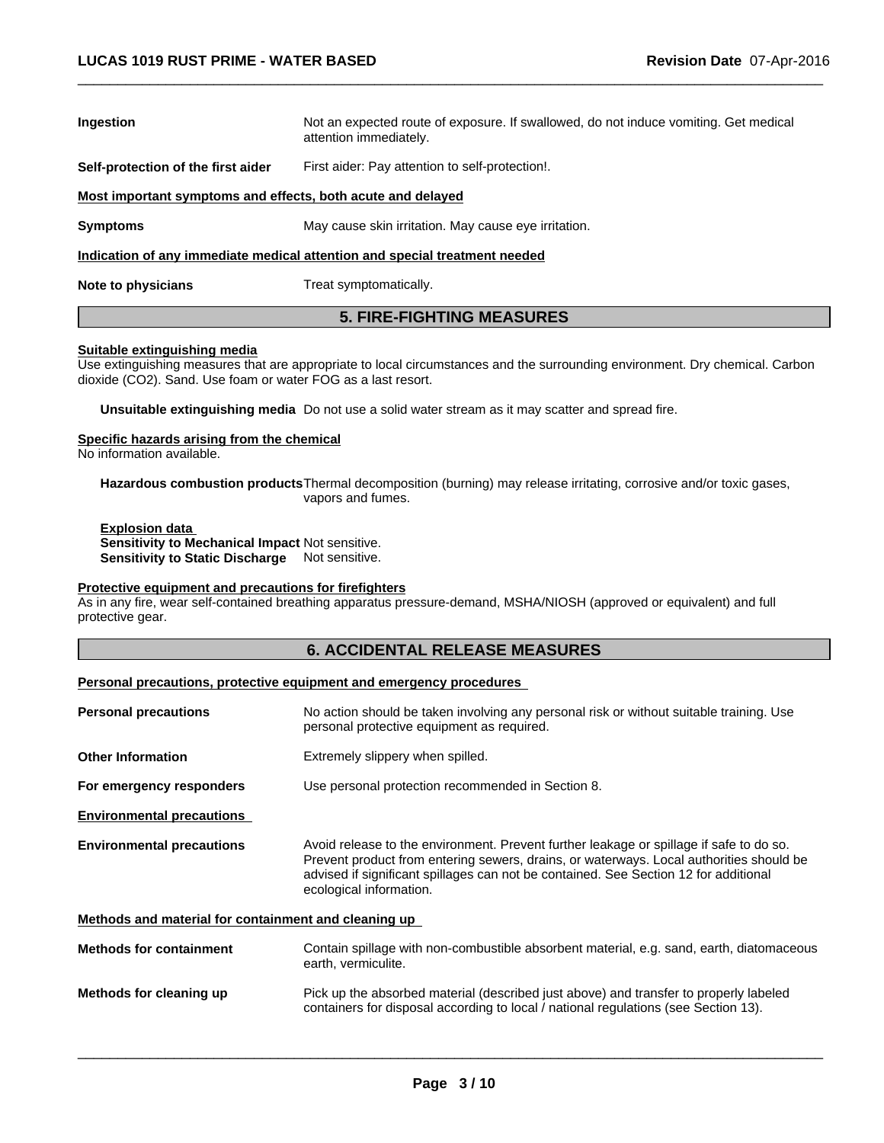| Ingestion                                                   | Not an expected route of exposure. If swallowed, do not induce vomiting. Get medical<br>attention immediately. |
|-------------------------------------------------------------|----------------------------------------------------------------------------------------------------------------|
| Self-protection of the first aider                          | First aider: Pay attention to self-protection!.                                                                |
| Most important symptoms and effects, both acute and delayed |                                                                                                                |
| <b>Symptoms</b>                                             | May cause skin irritation. May cause eye irritation.                                                           |
|                                                             | Indication of any immediate medical attention and special treatment needed                                     |
| Note to physicians                                          | Treat symptomatically.                                                                                         |

 $\overline{\phantom{a}}$  ,  $\overline{\phantom{a}}$  ,  $\overline{\phantom{a}}$  ,  $\overline{\phantom{a}}$  ,  $\overline{\phantom{a}}$  ,  $\overline{\phantom{a}}$  ,  $\overline{\phantom{a}}$  ,  $\overline{\phantom{a}}$  ,  $\overline{\phantom{a}}$  ,  $\overline{\phantom{a}}$  ,  $\overline{\phantom{a}}$  ,  $\overline{\phantom{a}}$  ,  $\overline{\phantom{a}}$  ,  $\overline{\phantom{a}}$  ,  $\overline{\phantom{a}}$  ,  $\overline{\phantom{a}}$ 

**Suitable extinguishing media** Use extinguishing measures that are appropriate to local circumstances and the surrounding environment. Dry chemical. Carbon dioxide (CO2). Sand. Use foam or water FOG as a last resort.

**5. FIRE-FIGHTING MEASURES**

**Unsuitable extinguishing media** Do not use a solid water stream as it may scatter and spread fire.

#### **Specific hazards arising from the chemical**

No information available.

**Hazardous combustion products**Thermal decomposition (burning) may release irritating, corrosive and/or toxic gases, vapors and fumes.

**Explosion data Sensitivity to Mechanical Impact** Not sensitive. **Sensitivity to Static Discharge** Not sensitive.

#### **Protective equipment and precautions for firefighters**

As in any fire, wear self-contained breathing apparatus pressure-demand, MSHA/NIOSH (approved or equivalent) and full protective gear.

#### **6. ACCIDENTAL RELEASE MEASURES**

#### **Personal precautions, protective equipment and emergency procedures**

| <b>Personal precautions</b>                          | No action should be taken involving any personal risk or without suitable training. Use<br>personal protective equipment as required.                                                                                                                                                                 |
|------------------------------------------------------|-------------------------------------------------------------------------------------------------------------------------------------------------------------------------------------------------------------------------------------------------------------------------------------------------------|
| <b>Other Information</b>                             | Extremely slippery when spilled.                                                                                                                                                                                                                                                                      |
| For emergency responders                             | Use personal protection recommended in Section 8.                                                                                                                                                                                                                                                     |
| <b>Environmental precautions</b>                     |                                                                                                                                                                                                                                                                                                       |
| <b>Environmental precautions</b>                     | Avoid release to the environment. Prevent further leakage or spillage if safe to do so.<br>Prevent product from entering sewers, drains, or waterways. Local authorities should be<br>advised if significant spillages can not be contained. See Section 12 for additional<br>ecological information. |
| Methods and material for containment and cleaning up |                                                                                                                                                                                                                                                                                                       |
| <b>Methods for containment</b>                       | Contain spillage with non-combustible absorbent material, e.g. sand, earth, diatomaceous<br>earth, vermiculite.                                                                                                                                                                                       |
| Methods for cleaning up                              | Pick up the absorbed material (described just above) and transfer to properly labeled<br>containers for disposal according to local / national regulations (see Section 13).                                                                                                                          |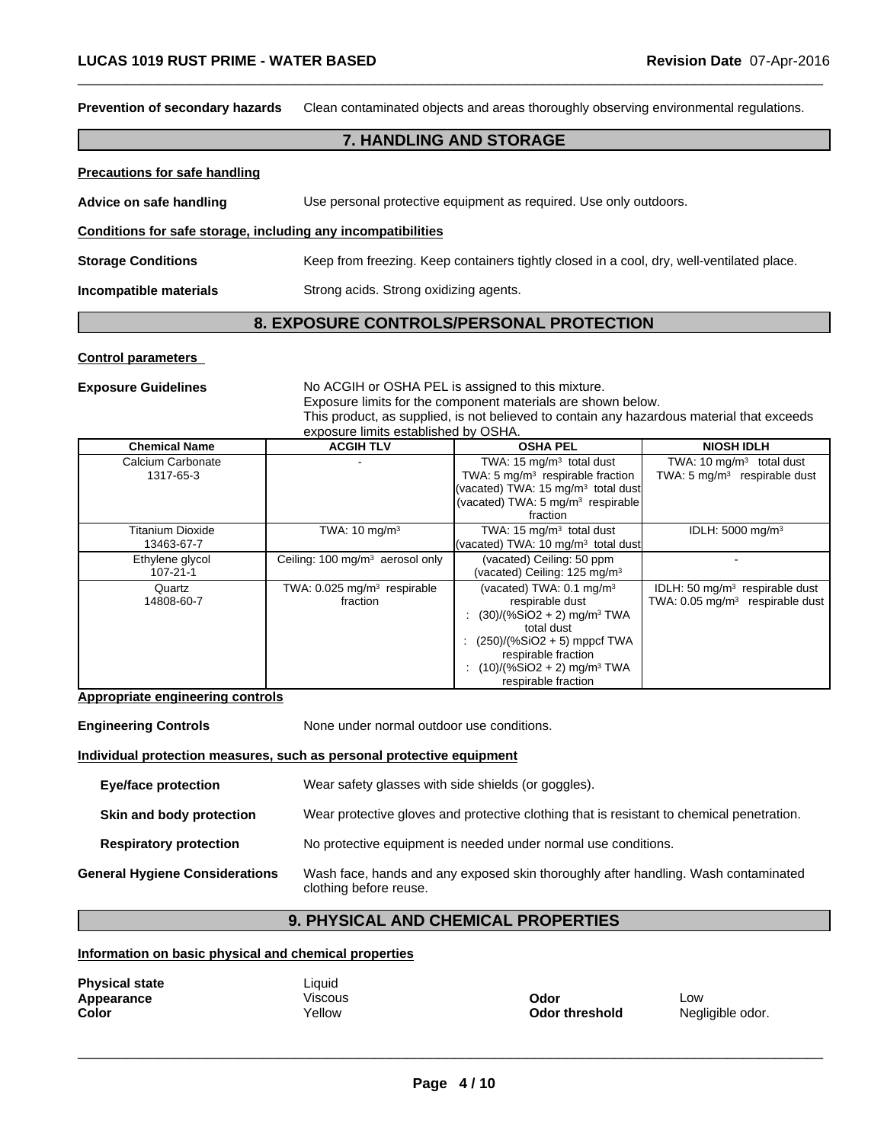**Prevention of secondary hazards** Clean contaminated objects and areas thoroughly observing environmental regulations.

#### **7. HANDLING AND STORAGE**

 $\overline{\phantom{a}}$  ,  $\overline{\phantom{a}}$  ,  $\overline{\phantom{a}}$  ,  $\overline{\phantom{a}}$  ,  $\overline{\phantom{a}}$  ,  $\overline{\phantom{a}}$  ,  $\overline{\phantom{a}}$  ,  $\overline{\phantom{a}}$  ,  $\overline{\phantom{a}}$  ,  $\overline{\phantom{a}}$  ,  $\overline{\phantom{a}}$  ,  $\overline{\phantom{a}}$  ,  $\overline{\phantom{a}}$  ,  $\overline{\phantom{a}}$  ,  $\overline{\phantom{a}}$  ,  $\overline{\phantom{a}}$ 

| <b>Precautions for safe handling</b>                         |                                                                                           |
|--------------------------------------------------------------|-------------------------------------------------------------------------------------------|
| Advice on safe handling                                      | Use personal protective equipment as required. Use only outdoors.                         |
| Conditions for safe storage, including any incompatibilities |                                                                                           |
| <b>Storage Conditions</b>                                    | Keep from freezing. Keep containers tightly closed in a cool, dry, well-ventilated place. |
| Incompatible materials                                       | Strong acids. Strong oxidizing agents.                                                    |

# **8. EXPOSURE CONTROLS/PERSONAL PROTECTION**

#### **Control parameters**

**Exposure Guidelines** No ACGIH or OSHA PEL is assigned to this mixture.

Exposure limits for the component materials are shown below.

This product, as supplied, is not believed to contain any hazardous material that exceeds exposure limits established by OSHA.

| <b>Chemical Name</b>                  | <b>ACGIH TLV</b>                                      | <b>OSHA PEL</b>                                                                                                                                                                                                                             | <b>NIOSH IDLH</b>                                                                         |
|---------------------------------------|-------------------------------------------------------|---------------------------------------------------------------------------------------------------------------------------------------------------------------------------------------------------------------------------------------------|-------------------------------------------------------------------------------------------|
| Calcium Carbonate<br>1317-65-3        |                                                       | TWA: $15 \text{ mg/m}^3$ total dust<br>TWA: $5 \text{ mg/m}^3$ respirable fraction                                                                                                                                                          | TWA: 10 $mg/m3$ total dust<br>TWA: $5 \text{ mg/m}^3$ respirable dust                     |
|                                       |                                                       | (vacated) TWA: 15 mg/m <sup>3</sup> total dust<br>(vacated) TWA: 5 mg/m <sup>3</sup> respirable<br>fraction                                                                                                                                 |                                                                                           |
| <b>Titanium Dioxide</b><br>13463-67-7 | TWA: $10 \text{ mg/m}^3$                              | TWA: $15 \text{ mg/m}^3$ total dust<br>(vacated) TWA: 10 mg/m <sup>3</sup> total dust                                                                                                                                                       | IDLH: $5000 \text{ mg/m}^3$                                                               |
| Ethylene glycol<br>$107 - 21 - 1$     | Ceiling: 100 mg/m <sup>3</sup> aerosol only           | (vacated) Ceiling: 50 ppm<br>(vacated) Ceiling: 125 mg/m <sup>3</sup>                                                                                                                                                                       |                                                                                           |
| Quartz<br>14808-60-7                  | TWA: $0.025$ mg/m <sup>3</sup> respirable<br>fraction | (vacated) TWA: $0.1 \text{ mg/m}^3$<br>respirable dust<br>$(30)/(%SiO2 + 2)$ mg/m <sup>3</sup> TWA<br>total dust<br>$(250)/(%SiO2 + 5)$ mppcf TWA<br>respirable fraction<br>$(10)/(%SiO2 + 2)$ mg/m <sup>3</sup> TWA<br>respirable fraction | IDLH: 50 mg/m <sup>3</sup> respirable dust<br>TWA: 0.05 mg/m <sup>3</sup> respirable dust |

#### **Appropriate engineering controls**

**Engineering Controls** None under normal outdoor use conditions.

#### **Individual protection measures, such as personal protective equipment**

| <b>Eye/face protection</b>            | Wear safety glasses with side shields (or goggles).                                                          |
|---------------------------------------|--------------------------------------------------------------------------------------------------------------|
| Skin and body protection              | Wear protective gloves and protective clothing that is resistant to chemical penetration.                    |
| <b>Respiratory protection</b>         | No protective equipment is needed under normal use conditions.                                               |
| <b>General Hygiene Considerations</b> | Wash face, hands and any exposed skin thoroughly after handling. Wash contaminated<br>clothing before reuse. |

# **9. PHYSICAL AND CHEMICAL PROPERTIES**

#### **Information on basic physical and chemical properties**

| <b>Physical state</b> | Liquid  |                |                  |
|-----------------------|---------|----------------|------------------|
| Appearance            | √iscous | Odor           | ∟OW              |
| Color                 | Yellow  | Odor threshold | Negligible odor. |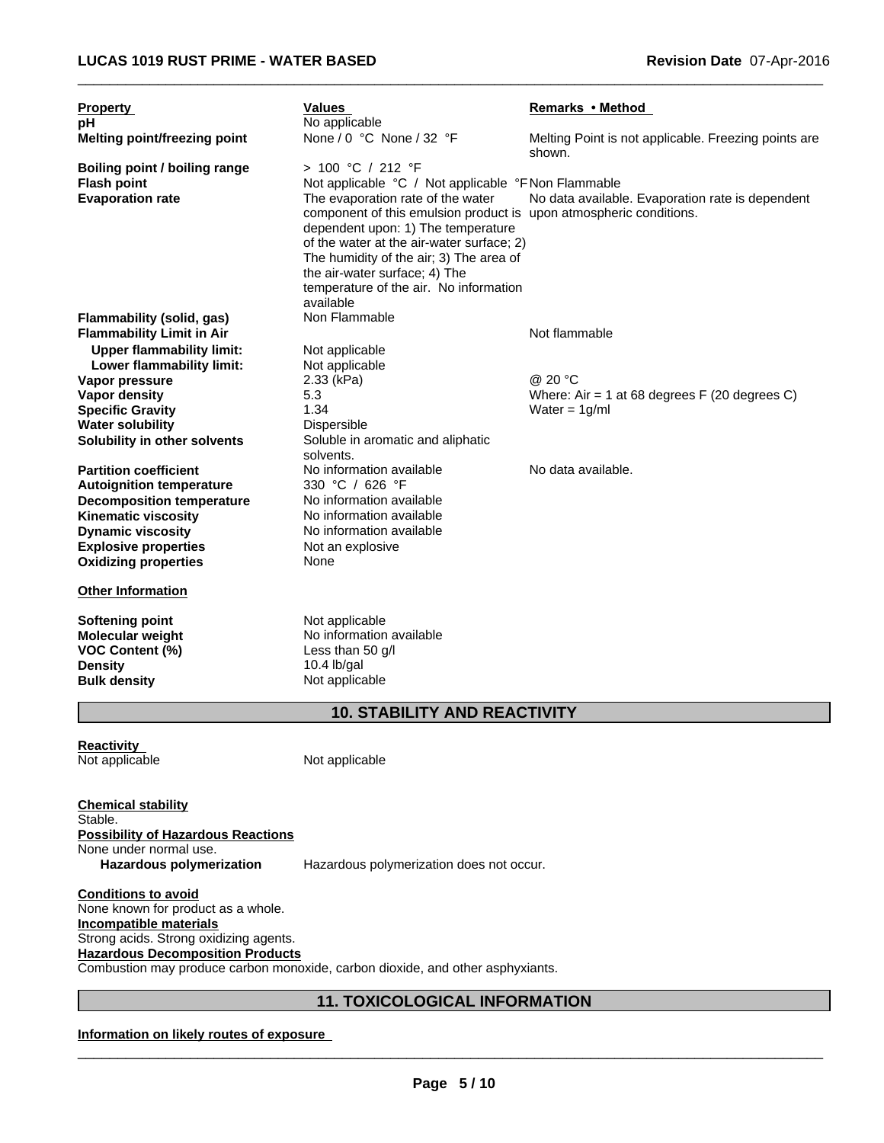| <b>Property</b>                                            | Values                                                                                                                                                                                                                                                                                                                        | Remarks • Method                                               |
|------------------------------------------------------------|-------------------------------------------------------------------------------------------------------------------------------------------------------------------------------------------------------------------------------------------------------------------------------------------------------------------------------|----------------------------------------------------------------|
| рH                                                         | No applicable                                                                                                                                                                                                                                                                                                                 |                                                                |
| Melting point/freezing point                               | None / 0 °C None / 32 °F                                                                                                                                                                                                                                                                                                      | Melting Point is not applicable. Freezing points are<br>shown. |
| <b>Boiling point / boiling range</b>                       | > 100 °C / 212 °F                                                                                                                                                                                                                                                                                                             |                                                                |
| <b>Flash point</b>                                         | Not applicable °C / Not applicable °F Non Flammable                                                                                                                                                                                                                                                                           |                                                                |
| <b>Evaporation rate</b>                                    | The evaporation rate of the water<br>component of this emulsion product is upon atmospheric conditions.<br>dependent upon: 1) The temperature<br>of the water at the air-water surface; 2)<br>The humidity of the air; 3) The area of<br>the air-water surface; 4) The<br>temperature of the air. No information<br>available | No data available. Evaporation rate is dependent               |
| Flammability (solid, gas)                                  | Non Flammable                                                                                                                                                                                                                                                                                                                 |                                                                |
| <b>Flammability Limit in Air</b>                           |                                                                                                                                                                                                                                                                                                                               | Not flammable                                                  |
| <b>Upper flammability limit:</b>                           | Not applicable                                                                                                                                                                                                                                                                                                                |                                                                |
| Lower flammability limit:                                  | Not applicable                                                                                                                                                                                                                                                                                                                |                                                                |
| Vapor pressure                                             | 2.33 (kPa)                                                                                                                                                                                                                                                                                                                    | @ 20 °C                                                        |
| Vapor density                                              | 5.3                                                                                                                                                                                                                                                                                                                           | Where: Air = 1 at 68 degrees $F(20$ degrees C)                 |
| <b>Specific Gravity</b>                                    | 1.34                                                                                                                                                                                                                                                                                                                          | Water = $1g/ml$                                                |
| <b>Water solubility</b>                                    | Dispersible                                                                                                                                                                                                                                                                                                                   |                                                                |
| Solubility in other solvents                               | Soluble in aromatic and aliphatic<br>solvents.                                                                                                                                                                                                                                                                                |                                                                |
| <b>Partition coefficient</b>                               | No information available                                                                                                                                                                                                                                                                                                      | No data available.                                             |
| <b>Autoignition temperature</b>                            | 330 °C / 626 °F                                                                                                                                                                                                                                                                                                               |                                                                |
| <b>Decomposition temperature</b>                           | No information available                                                                                                                                                                                                                                                                                                      |                                                                |
| <b>Kinematic viscosity</b>                                 | No information available                                                                                                                                                                                                                                                                                                      |                                                                |
| <b>Dynamic viscosity</b>                                   | No information available                                                                                                                                                                                                                                                                                                      |                                                                |
| <b>Explosive properties</b><br><b>Oxidizing properties</b> | Not an explosive<br>None                                                                                                                                                                                                                                                                                                      |                                                                |
| <b>Other Information</b>                                   |                                                                                                                                                                                                                                                                                                                               |                                                                |
| <b>Softening point</b>                                     | Not applicable                                                                                                                                                                                                                                                                                                                |                                                                |
| Molecular weight                                           | No information available                                                                                                                                                                                                                                                                                                      |                                                                |
| VOC Content (%)                                            | Less than 50 $q/l$                                                                                                                                                                                                                                                                                                            |                                                                |
| Density                                                    | 10.4 $\frac{1}{2}$                                                                                                                                                                                                                                                                                                            |                                                                |
| <b>Bulk density</b>                                        | Not applicable                                                                                                                                                                                                                                                                                                                |                                                                |
|                                                            | <b>10. STABILITY AND REACTIVITY</b>                                                                                                                                                                                                                                                                                           |                                                                |
| Reactivity<br>Not applicable                               | Not applicable                                                                                                                                                                                                                                                                                                                |                                                                |
| <b>Chemical stability</b><br>Stable.                       |                                                                                                                                                                                                                                                                                                                               |                                                                |

**Possibility of Hazardous Reactions**

None under normal use.<br>Hazardous polymerization

Hazardous polymerization does not occur.

**Conditions to avoid** None known for product as a whole. **Incompatible materials** Strong acids. Strong oxidizing agents. **Hazardous Decomposition Products** Combustion may produce carbon monoxide, carbon dioxide, and other asphyxiants.

# **11. TOXICOLOGICAL INFORMATION**

# **Information on likely routes of exposure**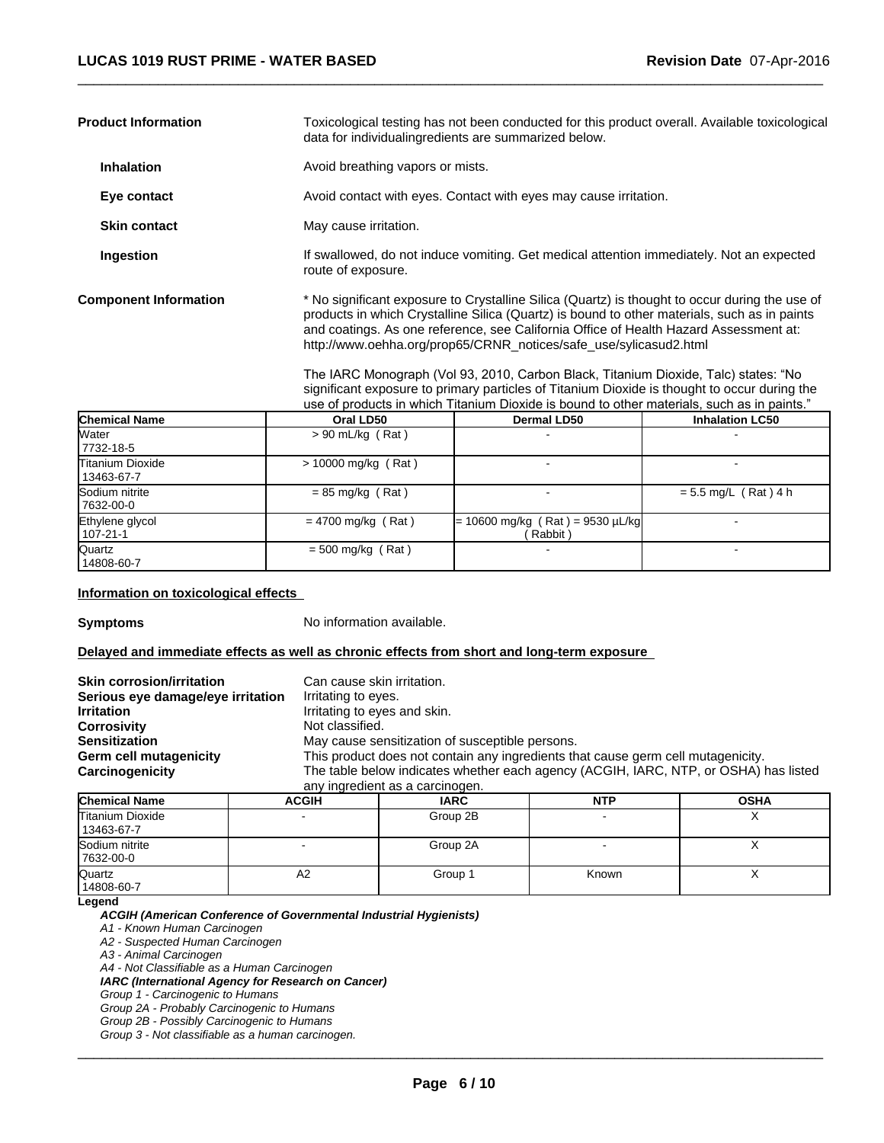| <b>Product Information</b>   | Toxicological testing has not been conducted for this product overall. Available toxicological<br>data for individualingredients are summarized below.                                                                                                                                                                                                       |
|------------------------------|--------------------------------------------------------------------------------------------------------------------------------------------------------------------------------------------------------------------------------------------------------------------------------------------------------------------------------------------------------------|
| <b>Inhalation</b>            | Avoid breathing vapors or mists.                                                                                                                                                                                                                                                                                                                             |
| Eye contact                  | Avoid contact with eyes. Contact with eyes may cause irritation.                                                                                                                                                                                                                                                                                             |
| <b>Skin contact</b>          | May cause irritation.                                                                                                                                                                                                                                                                                                                                        |
| Ingestion                    | If swallowed, do not induce vomiting. Get medical attention immediately. Not an expected<br>route of exposure.                                                                                                                                                                                                                                               |
| <b>Component Information</b> | * No significant exposure to Crystalline Silica (Quartz) is thought to occur during the use of<br>products in which Crystalline Silica (Quartz) is bound to other materials, such as in paints<br>and coatings. As one reference, see California Office of Health Hazard Assessment at:<br>http://www.oehha.org/prop65/CRNR_notices/safe_use/sylicasud2.html |

The IARC Monograph (Vol 93, 2010, Carbon Black, Titanium Dioxide, Talc) states: "No significant exposure to primary particles of Titanium Dioxide is thought to occur during the use of products in which Titanium Dioxide is bound to other materials, such as in paints."

 $\overline{\phantom{a}}$  ,  $\overline{\phantom{a}}$  ,  $\overline{\phantom{a}}$  ,  $\overline{\phantom{a}}$  ,  $\overline{\phantom{a}}$  ,  $\overline{\phantom{a}}$  ,  $\overline{\phantom{a}}$  ,  $\overline{\phantom{a}}$  ,  $\overline{\phantom{a}}$  ,  $\overline{\phantom{a}}$  ,  $\overline{\phantom{a}}$  ,  $\overline{\phantom{a}}$  ,  $\overline{\phantom{a}}$  ,  $\overline{\phantom{a}}$  ,  $\overline{\phantom{a}}$  ,  $\overline{\phantom{a}}$ 

| <b>Chemical Name</b>                  | Oral LD50             | <b>Dermal LD50</b>                            | <b>Inhalation LC50</b> |
|---------------------------------------|-----------------------|-----------------------------------------------|------------------------|
| Water<br>7732-18-5                    | $> 90$ mL/kg (Rat)    |                                               |                        |
| <b>Titanium Dioxide</b><br>13463-67-7 | $> 10000$ mg/kg (Rat) |                                               |                        |
| Sodium nitrite<br>7632-00-0           | $= 85$ mg/kg (Rat)    |                                               | $= 5.5$ mg/L (Rat) 4 h |
| Ethylene glycol<br>107-21-1           | $= 4700$ mg/kg (Rat)  | $= 10600$ mg/kg (Rat) = 9530 µL/kg<br>Rabbit) |                        |
| Quartz<br>14808-60-7                  | $= 500$ mg/kg (Rat)   |                                               |                        |

**Information on toxicological effects** 

**Symptoms** No information available.

#### **Delayed and immediate effects as well as chronic effects from short and long-term exposure**

| <b>Skin corrosion/irritation</b>  | Can cause skin irritation.                                                           |  |  |
|-----------------------------------|--------------------------------------------------------------------------------------|--|--|
| Serious eye damage/eye irritation | Irritating to eyes.                                                                  |  |  |
| <b>Irritation</b>                 | Irritating to eyes and skin.                                                         |  |  |
| Corrosivity                       | Not classified.                                                                      |  |  |
| Sensitization                     | May cause sensitization of susceptible persons.                                      |  |  |
| Germ cell mutagenicity            | This product does not contain any ingredients that cause germ cell mutagenicity.     |  |  |
| <b>Carcinogenicity</b>            | The table below indicates whether each agency (ACGIH, IARC, NTP, or OSHA) has listed |  |  |
|                                   | any ingredient as a carcinogen.                                                      |  |  |
|                                   |                                                                                      |  |  |

| <b>Chemical Name</b>           | <b>ACGIH</b> | <b>IARC</b> | <b>NTP</b> | <b>OSHA</b> |
|--------------------------------|--------------|-------------|------------|-------------|
| Titanium Dioxide<br>13463-67-7 |              | Group 2B    |            | $\lambda$   |
| Sodium nitrite<br>7632-00-0    |              | Group 2A    |            |             |
| Quartz<br>14808-60-7           | A2           | Group 1     | Known      | ↗           |

**Legend**

*ACGIH (American Conference of Governmental Industrial Hygienists)*

*A1 - Known Human Carcinogen*

*A2 - Suspected Human Carcinogen*

*A3 - Animal Carcinogen*

*A4 - Not Classifiable as a Human Carcinogen*

*IARC (International Agency for Research on Cancer)*

*Group 1 - Carcinogenic to Humans*

*Group 2A - Probably Carcinogenic to Humans Group 2B - Possibly Carcinogenic to Humans*

*Group 3 - Not classifiable as a human carcinogen.*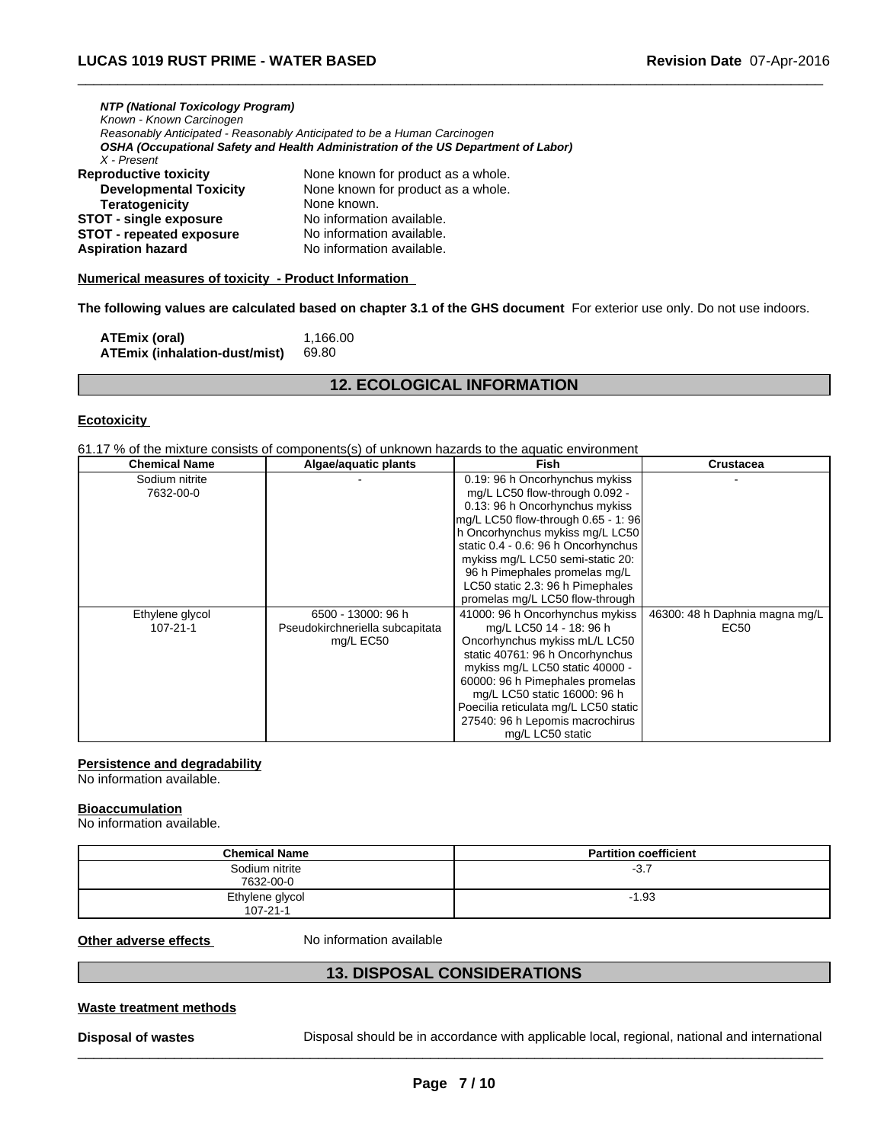| NTP (National Toxicology Program) |                                                                                    |
|-----------------------------------|------------------------------------------------------------------------------------|
| Known - Known Carcinogen          |                                                                                    |
|                                   | Reasonably Anticipated - Reasonably Anticipated to be a Human Carcinogen           |
|                                   | OSHA (Occupational Safety and Health Administration of the US Department of Labor) |
| X - Present                       |                                                                                    |
| Reproductive toxicitv             | None known for product as a whole.                                                 |
| <b>Developmental Toxicity</b>     | None known for product as a whole.                                                 |

| <b>Developmental Toxicity</b>   | None known for product as a whole. |
|---------------------------------|------------------------------------|
| Teratogenicity                  | None known.                        |
| <b>STOT - single exposure</b>   | No information available.          |
| <b>STOT - repeated exposure</b> | No information available.          |
| Aspiration hazard               | No information available.          |

#### **Numerical measures of toxicity - Product Information**

**The following values are calculated based on chapter 3.1 of the GHS document** For exterior use only. Do not use indoors.

 $\overline{\phantom{a}}$  ,  $\overline{\phantom{a}}$  ,  $\overline{\phantom{a}}$  ,  $\overline{\phantom{a}}$  ,  $\overline{\phantom{a}}$  ,  $\overline{\phantom{a}}$  ,  $\overline{\phantom{a}}$  ,  $\overline{\phantom{a}}$  ,  $\overline{\phantom{a}}$  ,  $\overline{\phantom{a}}$  ,  $\overline{\phantom{a}}$  ,  $\overline{\phantom{a}}$  ,  $\overline{\phantom{a}}$  ,  $\overline{\phantom{a}}$  ,  $\overline{\phantom{a}}$  ,  $\overline{\phantom{a}}$ 

| ATEmix (oral)                 | 1.166.00 |
|-------------------------------|----------|
| ATEmix (inhalation-dust/mist) | 69.80    |

# **12. ECOLOGICAL INFORMATION**

#### **Ecotoxicity**

61.17 % of the mixture consists of components(s) of unknown hazards to the aquatic environment

| <b>Chemical Name</b> | Algae/aquatic plants            | <b>Fish</b>                          | <b>Crustacea</b>               |
|----------------------|---------------------------------|--------------------------------------|--------------------------------|
| Sodium nitrite       |                                 | 0.19: 96 h Oncorhynchus mykiss       |                                |
| 7632-00-0            |                                 | mg/L LC50 flow-through 0.092 -       |                                |
|                      |                                 | 0.13: 96 h Oncorhynchus mykiss       |                                |
|                      |                                 | mg/L LC50 flow-through 0.65 - 1: 96  |                                |
|                      |                                 | h Oncorhynchus mykiss mg/L LC50      |                                |
|                      |                                 | static 0.4 - 0.6: 96 h Oncorhynchus  |                                |
|                      |                                 | mykiss mg/L LC50 semi-static 20:     |                                |
|                      |                                 | 96 h Pimephales promelas mg/L        |                                |
|                      |                                 | LC50 static 2.3: 96 h Pimephales     |                                |
|                      |                                 | promelas mg/L LC50 flow-through      |                                |
| Ethylene glycol      | 6500 - 13000: 96 h              | 41000: 96 h Oncorhynchus mykiss      | 46300: 48 h Daphnia magna mg/L |
| $107 - 21 - 1$       | Pseudokirchneriella subcapitata | mg/L LC50 14 - 18: 96 h              | EC50                           |
|                      | mg/L EC50                       | Oncorhynchus mykiss mL/L LC50        |                                |
|                      |                                 | static 40761: 96 h Oncorhynchus      |                                |
|                      |                                 | mykiss mg/L LC50 static 40000 -      |                                |
|                      |                                 | 60000: 96 h Pimephales promelas      |                                |
|                      |                                 | mg/L LC50 static 16000: 96 h         |                                |
|                      |                                 | Poecilia reticulata mg/L LC50 static |                                |
|                      |                                 | 27540: 96 h Lepomis macrochirus      |                                |
|                      |                                 | mg/L LC50 static                     |                                |

#### **Persistence and degradability**

No information available.

#### **Bioaccumulation**

No information available.

| <b>Chemical Name</b>              | <b>Partition coefficient</b> |
|-----------------------------------|------------------------------|
| Sodium nitrite<br>7632-00-0       | $-3.7$                       |
| Ethylene glycol<br>$107 - 21 - 1$ | $-1.93$                      |

**Other adverse effects** No information available

# **13. DISPOSAL CONSIDERATIONS**

#### **Waste treatment methods**

**Disposal of wastes** Disposal should be in accordance with applicable local, regional, national and international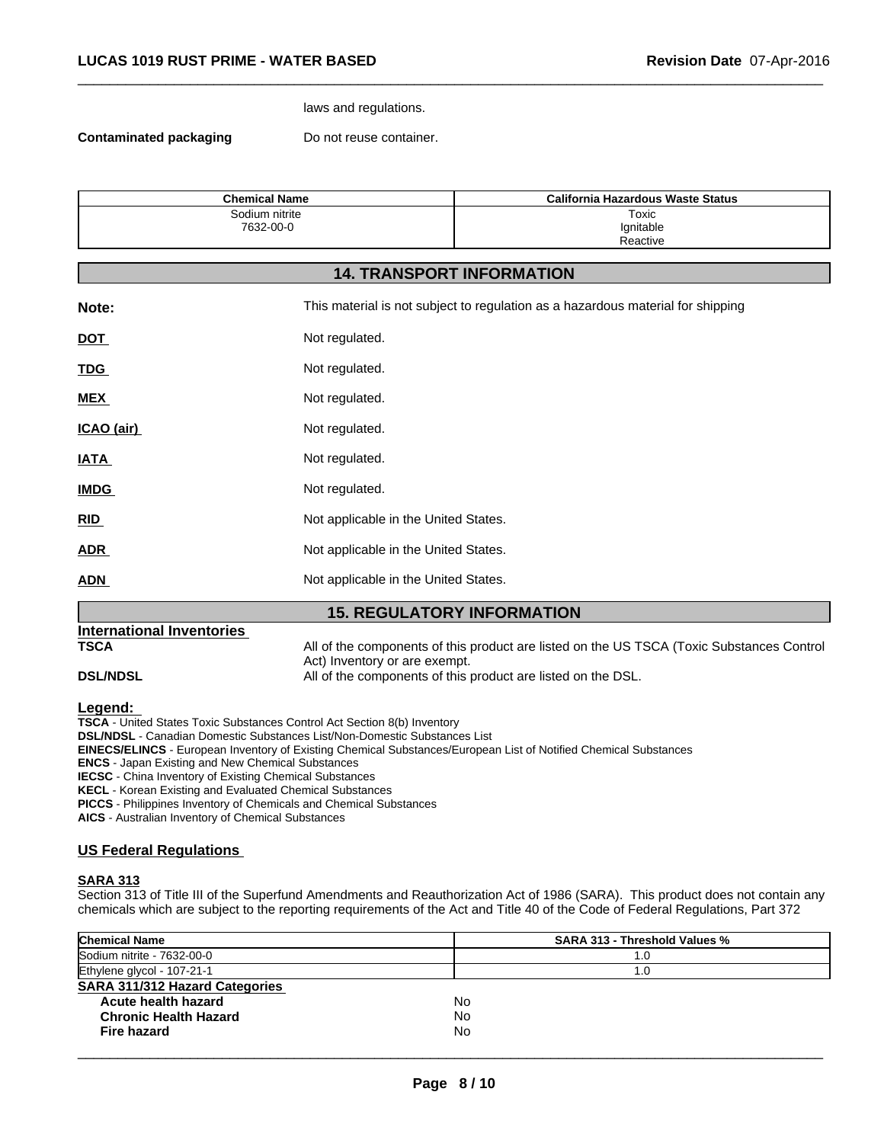#### laws and regulations.

**Contaminated packaging Example 20 Do not reuse container.** 

| <b>Chemical Name</b> | California Hazardous Waste Status |
|----------------------|-----------------------------------|
| Sodium nitrite       | Toxic                             |
| 7632-00-0            | Ignitable                         |
|                      | Reactive                          |

 $\overline{\phantom{a}}$  ,  $\overline{\phantom{a}}$  ,  $\overline{\phantom{a}}$  ,  $\overline{\phantom{a}}$  ,  $\overline{\phantom{a}}$  ,  $\overline{\phantom{a}}$  ,  $\overline{\phantom{a}}$  ,  $\overline{\phantom{a}}$  ,  $\overline{\phantom{a}}$  ,  $\overline{\phantom{a}}$  ,  $\overline{\phantom{a}}$  ,  $\overline{\phantom{a}}$  ,  $\overline{\phantom{a}}$  ,  $\overline{\phantom{a}}$  ,  $\overline{\phantom{a}}$  ,  $\overline{\phantom{a}}$ 

### **14. TRANSPORT INFORMATION**

| Note:       | This material is not subject to regulation as a hazardous material for shipping |
|-------------|---------------------------------------------------------------------------------|
| <b>DOT</b>  | Not regulated.                                                                  |
| <b>TDG</b>  | Not regulated.                                                                  |
| <b>MEX</b>  | Not regulated.                                                                  |
| ICAO (air)  | Not regulated.                                                                  |
| <b>IATA</b> | Not regulated.                                                                  |
| <b>IMDG</b> | Not regulated.                                                                  |
| RID         | Not applicable in the United States.                                            |
| <b>ADR</b>  | Not applicable in the United States.                                            |
| <b>ADN</b>  | Not applicable in the United States.                                            |

#### **15. REGULATORY INFORMATION**

# **International Inventories TSCA** All of the components of this product are listed on the US TSCA (Toxic Substances Control Act) Inventory or are exempt. **DSL/NDSL** All of the components of this product are listed on the DSL.

**Legend:** 

**TSCA** - United States Toxic Substances Control Act Section 8(b) Inventory

**DSL/NDSL** - Canadian Domestic Substances List/Non-Domestic Substances List

**EINECS/ELINCS** - European Inventory of Existing Chemical Substances/European List of Notified Chemical Substances

**ENCS** - Japan Existing and New Chemical Substances

**IECSC** - China Inventory of Existing Chemical Substances

**KECL** - Korean Existing and Evaluated Chemical Substances

**PICCS** - Philippines Inventory of Chemicals and Chemical Substances

**AICS** - Australian Inventory of Chemical Substances

### **US Federal Regulations**

#### **SARA 313**

Section 313 of Title III of the Superfund Amendments and Reauthorization Act of 1986 (SARA). This product does not contain any chemicals which are subject to the reporting requirements of the Act and Title 40 of the Code of Federal Regulations, Part 372

| <b>Chemical Name</b>                  | <b>SARA 313 - Threshold Values %</b> |
|---------------------------------------|--------------------------------------|
| Sodium nitrite - 7632-00-0            | 1.0                                  |
| Ethylene glycol - 107-21-1            | . O                                  |
| <b>SARA 311/312 Hazard Categories</b> |                                      |
| Acute health hazard                   | No.                                  |
| <b>Chronic Health Hazard</b>          | No.                                  |
| Fire hazard                           | No.                                  |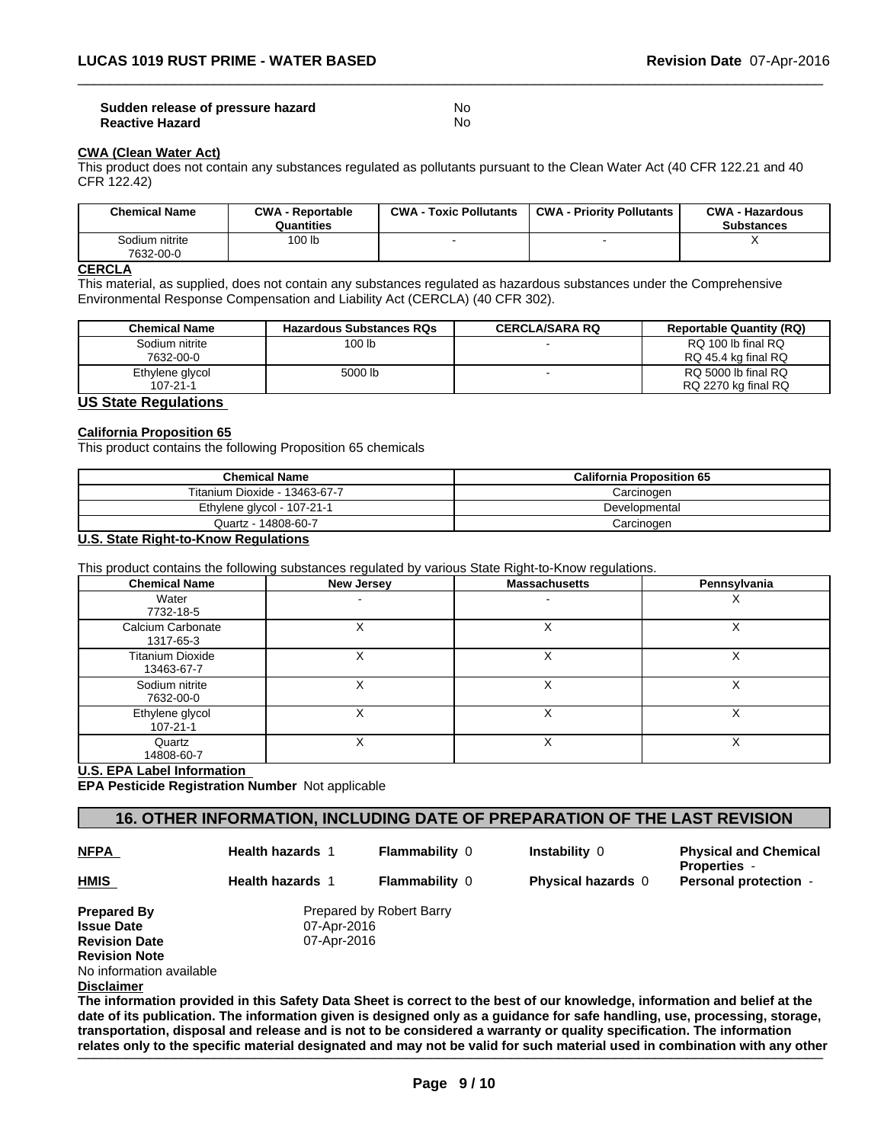#### **Sudden release of pressure hazard Monetainly Report Advantagement COV Reactive Hazard** No

### **CWA (Clean Water Act)**

This product does not contain any substances regulated as pollutants pursuant to the Clean Water Act (40 CFR 122.21 and 40 CFR 122.42)

| <b>Chemical Name</b>        | <b>CWA - Reportable</b><br>Quantities | <b>CWA - Toxic Pollutants</b> | <b>CWA - Priority Pollutants</b> | <b>CWA - Hazardous</b><br><b>Substances</b> |
|-----------------------------|---------------------------------------|-------------------------------|----------------------------------|---------------------------------------------|
| Sodium nitrite<br>7632-00-0 | 100 lb                                |                               |                                  | $\cdot$                                     |

 $\overline{\phantom{a}}$  ,  $\overline{\phantom{a}}$  ,  $\overline{\phantom{a}}$  ,  $\overline{\phantom{a}}$  ,  $\overline{\phantom{a}}$  ,  $\overline{\phantom{a}}$  ,  $\overline{\phantom{a}}$  ,  $\overline{\phantom{a}}$  ,  $\overline{\phantom{a}}$  ,  $\overline{\phantom{a}}$  ,  $\overline{\phantom{a}}$  ,  $\overline{\phantom{a}}$  ,  $\overline{\phantom{a}}$  ,  $\overline{\phantom{a}}$  ,  $\overline{\phantom{a}}$  ,  $\overline{\phantom{a}}$ 

#### **CERCLA**

This material, as supplied, does not contain any substances regulated as hazardous substances under the Comprehensive Environmental Response Compensation and Liability Act (CERCLA) (40 CFR 302).

| <b>Chemical Name</b> | <b>Hazardous Substances RQs</b> | <b>CERCLA/SARA RQ</b> | <b>Reportable Quantity (RQ)</b> |
|----------------------|---------------------------------|-----------------------|---------------------------------|
| Sodium nitrite       | 100 <sub>lb</sub>               |                       | RQ 100 lb final RQ              |
| 7632-00-0            |                                 |                       | RQ 45.4 kg final RQ             |
| Ethylene glycol      | 5000 lb                         |                       | RQ 5000 lb final RQ             |
| $107 - 21 - 1$       |                                 |                       | RQ 2270 kg final RQ             |

#### **US State Regulations**

#### **California Proposition 65**

This product contains the following Proposition 65 chemicals

| <b>Chemical Name</b>          | <b>California Proposition 65</b> |
|-------------------------------|----------------------------------|
| Titanium Dioxide - 13463-67-7 | Carcinogen                       |
| Ethylene glycol - 107-21-1    | Developmental                    |
| Quartz - 14808-60-7           | Carcinogen                       |

#### **U.S. State Right-to-Know Regulations**

This product contains the following substances regulated by various State Right-to-Know regulations.

| <b>Chemical Name</b>                  | New Jersey | <b>Massachusetts</b> | Pennsylvania |
|---------------------------------------|------------|----------------------|--------------|
| Water<br>7732-18-5                    |            |                      | ⌒            |
| Calcium Carbonate<br>1317-65-3        |            |                      | ∧            |
| <b>Titanium Dioxide</b><br>13463-67-7 |            |                      | ⋏            |
| Sodium nitrite<br>7632-00-0           |            | ́                    | ∧            |
| Ethylene glycol<br>$107 - 21 - 1$     |            |                      | х            |
| Quartz<br>14808-60-7                  |            |                      | ⋏            |

#### **U.S. EPA Label Information**

**EPA Pesticide Registration Number** Not applicable

# **16. OTHER INFORMATION, INCLUDING DATE OF PREPARATION OF THE LAST REVISION**

**NFPA** 

**HMIS** 

**Health hazards** 1

**Flammability** 0 **Instability** 0

**Physical and Chemical Properties** - **Flammability** <sup>0</sup> **Physical hazards** <sup>0</sup> **Personal protection** - **Health hazards** <sup>1</sup>

**Prepared By** Prepared by Robert Barry **Issue Date 1888 1988 1988 1988 1988 1988 1988 1988 1988 1988 1988 1988 1988 1988 1988 1988 1988 1988 1988 1988 1988 1988 1988 1988 1988 1988 1988 1988 1988 1988 Revision Date** 07-Apr-2016 **Revision Note** No information available

**Disclaimer**

**The information provided in this Safety Data Sheet is correct to the best of our knowledge, information and belief at the date of its publication. The information given is designed only as a guidance for safe handling, use, processing, storage, transportation, disposal and release and is not to be considered a warranty or quality specification. The information** relates only to the specific material designated and may not be valid for such material used in combination with any other